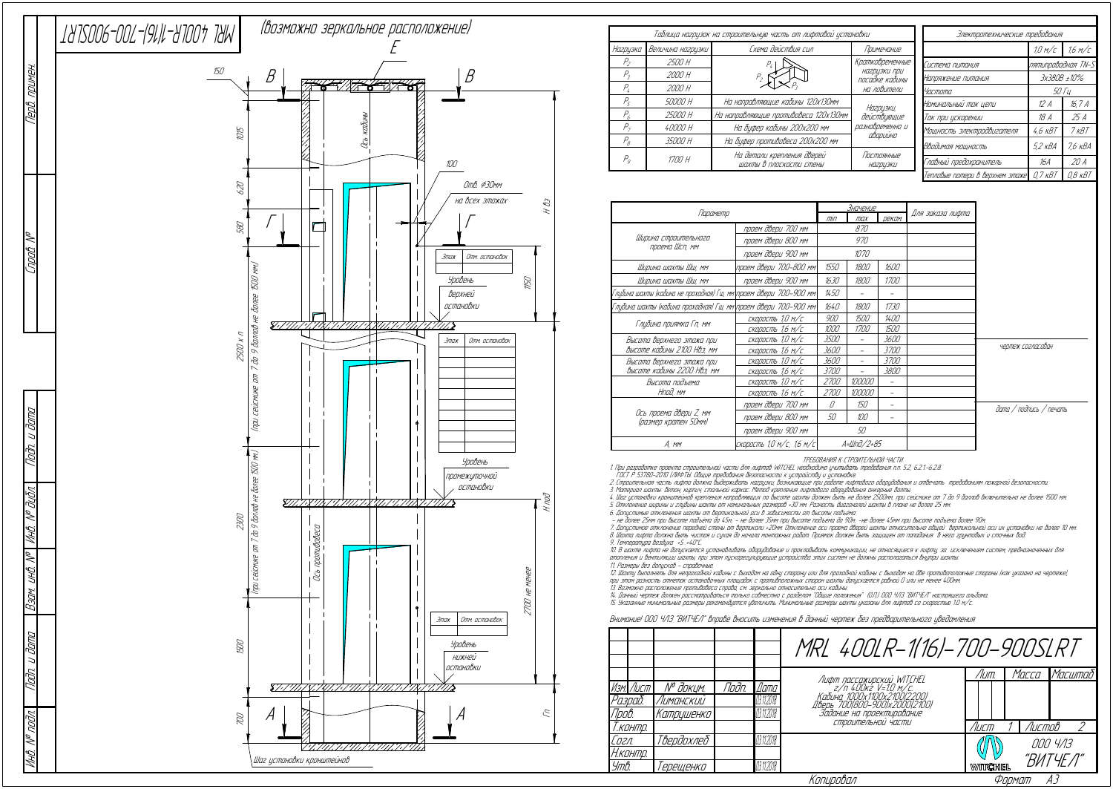

| Параметр                                                           |                           |                    | Значение    |               |                  |
|--------------------------------------------------------------------|---------------------------|--------------------|-------------|---------------|------------------|
|                                                                    |                           |                    | max         | <b>ДЕКОМ.</b> | Для заказа лифта |
|                                                                    | проем двери 700 мм        |                    | 870         |               |                  |
| Ширина строительного                                               | проем двери 800 мм        |                    | 970         |               |                  |
| проема Шсп, мм                                                     | проем двери 900 мм        |                    | 1070        |               |                  |
| Ширина шахты Шш, мм                                                | проем двери 700-800 мм\   | 1550               | 1800        | 1600          |                  |
| Ширина шахты Шш, мм                                                | проем двери 900 мм        | 1630               | 1800        | 1700          |                  |
| Глубина шахты (кабина не проходная) Гш, мм\проем двери 700–900 мм\ |                           | 1450               |             |               |                  |
| Глубина шахты (кабина проходная) Гш, мм\проем двери 700–900 мм\    |                           | 1640               | 1800        | 1730          |                  |
|                                                                    | скорость 1,0 м/с          | 900                | 1500        | <i>1400</i>   |                  |
| Глубина приямка Гп, мм                                             | скорость 1,6 м/с          | 1000               | <i>1700</i> | 1500          |                  |
| Высота верхнего этажа при                                          | скорость 1,0 м/с          | <i>3500</i>        |             | 3600          |                  |
| высоте кабины 2100 Нвэ, мм                                         | скорость 1,6 м/с          | 3600               |             | <i>3700</i>   |                  |
| Высота верхнего этажа при                                          | скорость 1,0 м/с          | 3600               |             | <i>3700</i>   |                  |
| высоте кабины 2200 Нвэ, мм                                         | скорость 1,6 м/с          | <i>3700</i>        |             | 3800          |                  |
| Высота подъема                                                     | скорость 1,0 м/с          | 2700               | 100000      |               |                  |
| Нпод, мм                                                           | скорость 1,6 м/с          | <i>2700</i>        | 100000      |               |                  |
| Ось проема двери Z, мм<br>(размер кратен 50мм)                     | проем двери 700 мм        | N                  | 150         |               |                  |
|                                                                    | проем двери 800 мм        | 50                 | 100         |               |                  |
|                                                                    | проем двери 900 мм        | 50                 |             |               |                  |
| A, mm                                                              | скорость 1,0 м/с; 1,6 м/с | A= <i>Шnd/2+85</i> |             |               |                  |

ТРЕБОВАНИЯ К СТРОИТЕЛЬНОЙ ЧАСТИ

1. При разработке проекта строительной части для лифтов WITCHEL необходимо учитывать требования <sup>п</sup>.п. 5.2, 6.2.1.-6.2.8.

ГОСТ Р 53780-2010 (ЛИФТЫ. Общие требования безопасности <sup>к</sup> устройству <sup>и</sup> установке.

2. Строительная часть лифта должна выдерживать нагрузки, возникающие при работе лифтового оборудования <sup>и</sup> отвечать требованиям пожарной безопасности.

3. Материал шахты: бетон, кирпич, стальной каркас. Метод крепления лифтового оборудования анкерные болты.

4. Шаг установки кронштейнов крепления направляющих по высоте шахты должен быть не более 2500мм, при сейсмике от 7 до 9 баллов включительно не более 1500 мм. 5. Отклонение ширины <sup>и</sup> глубины шахты от номинальных размеров +30 мм. Разность диагоналей шахты в плане не более 25 мм.

6. Допустимые отклонения шахты от вертикальной оси в зависимости от высоты подъёма:<br>– не более 25мм при высоте подъёма до 45м; – не более 35мм при высоте подъёма до 90м; -не более 45мм при высоте подъёма более 90м

|                           |            |       |               | MRL 400LR-1(16)-700-900SLRT                                                      |         |               |          |  |  |
|---------------------------|------------|-------|---------------|----------------------------------------------------------------------------------|---------|---------------|----------|--|--|
|                           |            |       |               |                                                                                  | /Іит.   | Масса         | Масштаб  |  |  |
| Изм. Лист                 | № докцм.   | Подп. | <i>[</i> ]ama | Лифт пассажирский WITCHEL<br>2/п 400кг V=1.0 м/с.<br>Кабинд 1000х1100х2100(2200) |         |               |          |  |  |
| Разраб.                   | Лиманский  |       | 03.11.2018    |                                                                                  |         |               |          |  |  |
| Npo <i>b</i> .            | Катрцшенко |       | 03.11.2018    |                                                                                  |         |               |          |  |  |
| Т.контр.                  |            |       |               | СТООИТЕЛЬНОЙ ЧАСТИ                                                               | Лист    | <b>Листов</b> | っ        |  |  |
| Согл.                     | Твердохлеб |       | 03.11.2018    |                                                                                  |         |               | 000 4/13 |  |  |
| Н.контр.                  |            |       |               |                                                                                  |         |               |          |  |  |
| Утв.                      | 'ерещенко  |       | 03.11.2018    |                                                                                  | WITCHEL |               | "ВИТЧЕЛ" |  |  |
| Копировал<br>AЗ<br>Формат |            |       |               |                                                                                  |         |               |          |  |  |

7. Допустимое отклонение передней стены от вертикали +20мм. Отклонение оси проема дверей шахты относительно общей вертикальной оси их установки не более 10 мм. 8. Шахта лифта должна быть чистая <sup>и</sup> сухая до начала монтажных работ. Приямок должен быть защищен от попадания в него грунтовых <sup>и</sup> сточных вод.

9. Температура воздуха +5…+40°С.

10. В шахте лифта не допускается устанавливать оборудование <sup>и</sup> прокладывать коммуникации, не относящиеся <sup>к</sup> лифту, за исключением систем, предназначенных для отопления и вентиляции шахты, при этом пускорегулирующие устройства этих систем не должны располагаться внутри шахты 11. Размеры без допусков - справочные.

12. Шахту выполнять для непроходной кабины <sup>с</sup> выходом на одну сторону или для проходной кабины <sup>с</sup> выходом на две противоположные стороны (как указано на чертеже), при этом разность отметок остановочных площадок <sup>с</sup> противположных сторон шахты допускается равной 0 или не менее 400мм.

13. Возможно расположение противовеса справа, см. зеркально относительно оси кабины.<br>14. Данный чертеж должен рассматриваться только совместно с разделом "Общие положения" (О.П.) ООО ЧЛЗ "ВИТЧЕЛ" настоящего альбома.<br>15. У

Внимание! ООО ЧЛЗ "ВИТЧЕЛ" вправе вносить изменения в данный чертеж без предварительного уведомления

дата / подпись / печать

чертеж согласован

| Таблица нагрузок на строительную часть от лифтовой установки |                   |                                                       |                                                                  |  | Электротехнические требования   |                    |             |  |
|--------------------------------------------------------------|-------------------|-------------------------------------------------------|------------------------------------------------------------------|--|---------------------------------|--------------------|-------------|--|
| Нагрузка                                                     | Величина нагрузки | Схема действия сил                                    | Примечание                                                       |  |                                 | 1.0 M/c            | 1.6 M/C     |  |
| Р,                                                           | 2500 H            |                                                       | Кратковременные<br>нагрузки при<br>посадке кабины<br>на ловители |  | Система питания                 | nятипроводная TN-S |             |  |
| Р,                                                           | 2000 H            |                                                       |                                                                  |  | Напряжение питания              | 3x380B ±10%        |             |  |
| Р,                                                           | 2000 H            |                                                       |                                                                  |  | Частота                         | <i>50 Ги</i>       |             |  |
| $P_{\varsigma}$                                              | 50000 H           | На направляющие кабины 120х130мм                      | Нагрцзки,                                                        |  | Номинальный ток цепи            | 12 A               | 16,7 A      |  |
| P <sub>6</sub>                                               | 25000 H           | На направляющие противовеса 120х130мм                 | действующие                                                      |  | Ток при ускорении               | 18 A               | 25 A        |  |
| Р.,                                                          | 40000 H           | На буфер кабины 200х200 мм                            | разновременно и<br>аварийно                                      |  | Мощность электродвигателя       | 4,6 кВТ            | 7 кВТ       |  |
| $P_{g}$                                                      | 35000 H           | На буфер противовеса 200х200 мм                       |                                                                  |  | Вводимая мощность               | 5,2 кВА            | 7,6 кВА     |  |
| P <sub>o</sub>                                               | 1700 H            | На детали крепления дверей<br>шахты в плоскости стены | Постоянные<br><b>НА2ДЦЗКИ</b>                                    |  | Главный предохранитель          | 16A                | 20 A        |  |
|                                                              |                   |                                                       |                                                                  |  | Тепловые потери в верхнем этаже | $0.7$ $KB$         | $0.8$ $KBT$ |  |